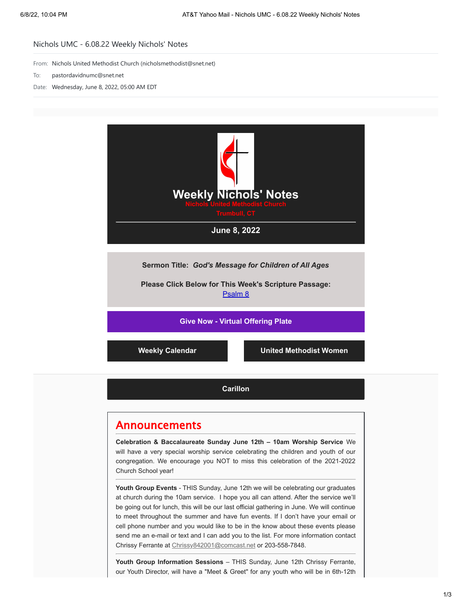## Nichols UMC - 6.08.22 Weekly Nichols' Notes

From: Nichols United Methodist Church (nicholsmethodist@snet.net)

- To: pastordavidnumc@snet.net
- Date: Wednesday, June 8, 2022, 05:00 AM EDT



**[Carillon](https://nicholsumc.us4.list-manage.com/track/click?u=d09532b52f4e74b81f543ac42&id=763e0a108e&e=9e577d7e6a)**

## Announcements

**Celebration & Baccalaureate Sunday June 12th – 10am Worship Service** We will have a very special worship service celebrating the children and youth of our congregation. We encourage you NOT to miss this celebration of the 2021-2022 Church School year!

**Youth Group Events** - THIS Sunday, June 12th we will be celebrating our graduates at church during the 10am service. I hope you all can attend. After the service we'll be going out for lunch, this will be our last official gathering in June. We will continue to meet throughout the summer and have fun events. If I don't have your email or cell phone number and you would like to be in the know about these events please send me an e-mail or text and I can add you to the list. For more information contact Chrissy Ferrante at [Chrissy842001@comcast.net](mailto:Chrissy842001@comcast.net) or 203-558-7848.

**Youth Group Information Sessions** – THIS Sunday, June 12th Chrissy Ferrante, our Youth Director, will have a "Meet & Greet" for any youth who will be in 6th-12th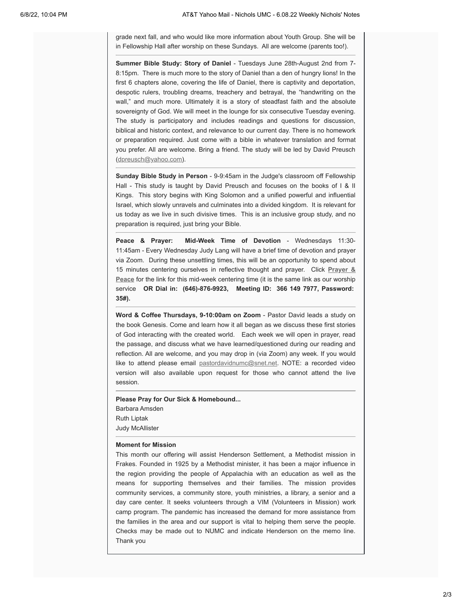grade next fall, and who would like more information about Youth Group. She will be in Fellowship Hall after worship on these Sundays. All are welcome (parents too!).

**Summer Bible Study: Story of Daniel** - Tuesdays June 28th-August 2nd from 7- 8:15pm. There is much more to the story of Daniel than a den of hungry lions! In the first 6 chapters alone, covering the life of Daniel, there is captivity and deportation, despotic rulers, troubling dreams, treachery and betrayal, the "handwriting on the wall," and much more. Ultimately it is a story of steadfast faith and the absolute sovereignty of God. We will meet in the lounge for six consecutive Tuesday evening. The study is participatory and includes readings and questions for discussion, biblical and historic context, and relevance to our current day. There is no homework or preparation required. Just come with a bible in whatever translation and format you prefer. All are welcome. Bring a friend. The study will be led by David Preusch [\(dpreusch@yahoo.com](mailto:dpreusch@yahoo.com)).

**Sunday Bible Study in Person** - 9-9:45am in the Judge's classroom off Fellowship Hall - This study is taught by David Preusch and focuses on the books of I & II Kings. This story begins with King Solomon and a unified powerful and influential Israel, which slowly unravels and culminates into a divided kingdom. It is relevant for us today as we live in such divisive times. This is an inclusive group study, and no preparation is required, just bring your Bible.

**Peace & Prayer: Mid-Week Time of Devotion** - Wednesdays 11:30- 11:45am - Every Wednesday Judy Lang will have a brief time of devotion and prayer via Zoom. During these unsettling times, this will be an opportunity to spend about 15 minutes centering ourselves in reflective thought and prayer. Click **Prayer & Peace** [for the link for this mid-week centering time \(it is the same link as our worship](https://nicholsumc.us4.list-manage.com/track/click?u=d09532b52f4e74b81f543ac42&id=f18c45168f&e=9e577d7e6a) service **OR Dial in: (646)-876-9923, Meeting ID: 366 149 7977, Password: 35#).**

**Word & Coffee Thursdays, 9-10:00am on Zoom** - Pastor David leads a study on the book Genesis. Come and learn how it all began as we discuss these first stories of God interacting with the created world. Each week we will open in prayer, read the passage, and discuss what we have learned/questioned during our reading and reflection. All are welcome, and you may drop in (via Zoom) any week. If you would like to attend please email [pastordavidnumc@snet.net.](mailto:pastordavidnumc@snet.net) NOTE: a recorded video version will also available upon request for those who cannot attend the live session.

**Please Pray for Our Sick & Homebound...** Barbara Amsden

Ruth Liptak

Judy McAllister

## **Moment for Mission**

This month our offering will assist Henderson Settlement, a Methodist mission in Frakes. Founded in 1925 by a Methodist minister, it has been a major influence in the region providing the people of Appalachia with an education as well as the means for supporting themselves and their families. The mission provides community services, a community store, youth ministries, a library, a senior and a day care center. It seeks volunteers through a VIM (Volunteers in Mission) work camp program. The pandemic has increased the demand for more assistance from the families in the area and our support is vital to helping them serve the people. Checks may be made out to NUMC and indicate Henderson on the memo line. Thank you